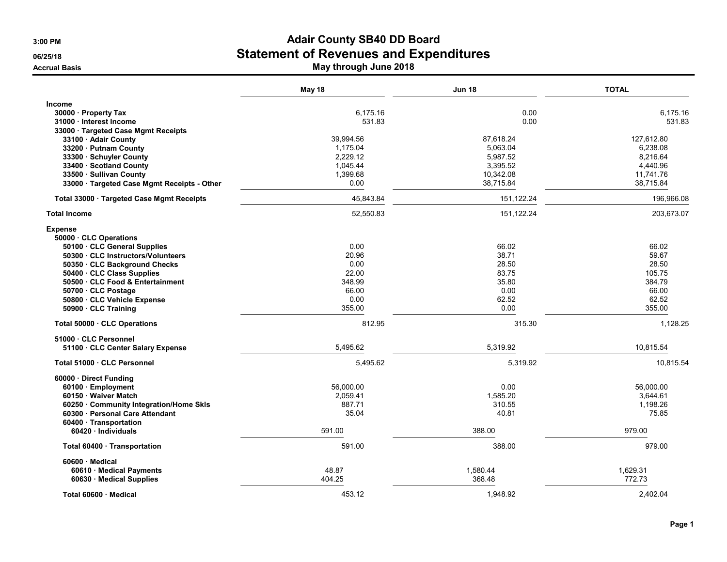|                                                        | May 18    | <b>Jun 18</b> | <b>TOTAL</b> |
|--------------------------------------------------------|-----------|---------------|--------------|
| <b>Income</b>                                          |           |               |              |
| 30000 · Property Tax                                   | 6,175.16  | 0.00          | 6,175.16     |
| 31000 · Interest Income                                | 531.83    | 0.00          | 531.83       |
| 33000 · Targeted Case Mgmt Receipts                    |           |               |              |
| 33100 · Adair County                                   | 39,994.56 | 87,618.24     | 127,612.80   |
| 33200 · Putnam County                                  | 1,175.04  | 5,063.04      | 6,238.08     |
| 33300 · Schuyler County                                | 2,229.12  | 5,987.52      | 8,216.64     |
| 33400 · Scotland County                                | 1,045.44  | 3,395.52      | 4,440.96     |
| 33500 · Sullivan County                                | 1,399.68  | 10,342.08     | 11,741.76    |
| 33000 · Targeted Case Mgmt Receipts - Other            | 0.00      | 38,715.84     | 38,715.84    |
| Total 33000 · Targeted Case Mgmt Receipts              | 45,843.84 | 151,122.24    | 196,966.08   |
| <b>Total Income</b>                                    | 52,550.83 | 151,122.24    | 203,673.07   |
| <b>Expense</b>                                         |           |               |              |
| 50000 · CLC Operations<br>50100 · CLC General Supplies | 0.00      | 66.02         | 66.02        |
| 50300 · CLC Instructors/Volunteers                     | 20.96     | 38.71         | 59.67        |
| 50350 CLC Background Checks                            | 0.00      | 28.50         | 28.50        |
| 50400 · CLC Class Supplies                             | 22.00     | 83.75         | 105.75       |
| 50500 CLC Food & Entertainment                         | 348.99    | 35.80         | 384.79       |
| 50700 CLC Postage                                      | 66.00     | 0.00          | 66.00        |
| 50800 CLC Vehicle Expense                              | 0.00      | 62.52         | 62.52        |
| 50900 · CLC Training                                   | 355.00    | 0.00          | 355.00       |
| Total 50000 · CLC Operations                           | 812.95    | 315.30        | 1,128.25     |
| 51000 · CLC Personnel                                  |           |               |              |
| 51100 CLC Center Salary Expense                        | 5,495.62  | 5,319.92      | 10,815.54    |
| Total 51000 · CLC Personnel                            | 5,495.62  | 5,319.92      | 10,815.54    |
| 60000 · Direct Funding                                 |           |               |              |
| 60100 · Employment                                     | 56,000.00 | 0.00          | 56.000.00    |
| 60150 · Waiver Match                                   | 2,059.41  | 1,585.20      | 3,644.61     |
| 60250 Community Integration/Home Skls                  | 887.71    | 310.55        | 1,198.26     |
| 60300 Personal Care Attendant                          | 35.04     | 40.81         | 75.85        |
| 60400 · Transportation<br>60420 · Individuals          | 591.00    | 388.00        | 979.00       |
| Total 60400 · Transportation                           | 591.00    | 388.00        | 979.00       |
| 60600 · Medical                                        |           |               |              |
| 60610 · Medical Payments                               | 48.87     | 1,580.44      | 1,629.31     |
| 60630 · Medical Supplies                               | 404.25    | 368.48        | 772.73       |
| Total 60600 · Medical                                  | 453.12    | 1.948.92      | 2.402.04     |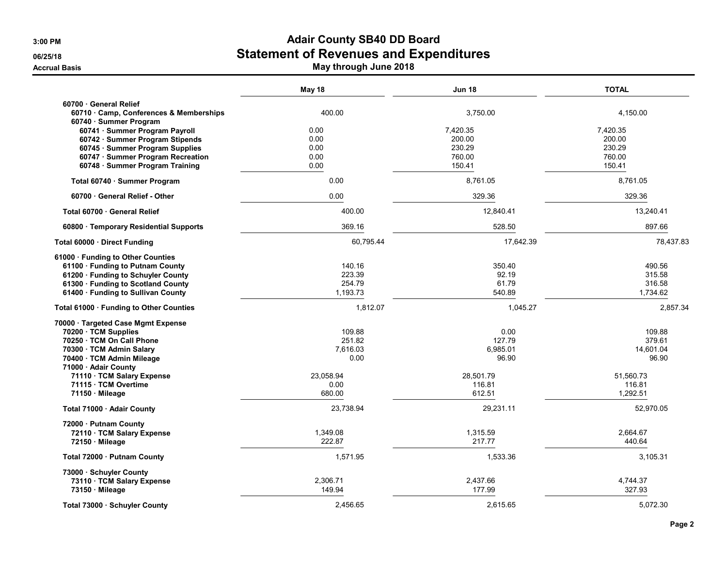|                                                          | May 18    | <b>Jun 18</b> | <b>TOTAL</b> |
|----------------------------------------------------------|-----------|---------------|--------------|
| 60700 General Relief                                     |           |               |              |
| 60710 · Camp, Conferences & Memberships                  | 400.00    | 3,750.00      | 4,150.00     |
| 60740 · Summer Program<br>60741 · Summer Program Payroll | 0.00      | 7,420.35      | 7,420.35     |
| 60742 · Summer Program Stipends                          | 0.00      | 200.00        | 200.00       |
| 60745 · Summer Program Supplies                          | 0.00      | 230.29        | 230.29       |
| 60747 · Summer Program Recreation                        | 0.00      | 760.00        | 760.00       |
| 60748 · Summer Program Training                          | 0.00      | 150.41        | 150.41       |
| Total 60740 · Summer Program                             | 0.00      | 8,761.05      | 8,761.05     |
| 60700 General Relief - Other                             | 0.00      | 329.36        | 329.36       |
| Total 60700 · General Relief                             | 400.00    | 12,840.41     | 13,240.41    |
| 60800 · Temporary Residential Supports                   | 369.16    | 528.50        | 897.66       |
| Total 60000 Direct Funding                               | 60,795.44 | 17,642.39     | 78,437.83    |
| 61000 · Funding to Other Counties                        |           |               |              |
| 61100 · Funding to Putnam County                         | 140.16    | 350.40        | 490.56       |
| 61200 · Funding to Schuyler County                       | 223.39    | 92.19         | 315.58       |
| 61300 · Funding to Scotland County                       | 254.79    | 61.79         | 316.58       |
| 61400 · Funding to Sullivan County                       | 1,193.73  | 540.89        | 1,734.62     |
| Total 61000 · Funding to Other Counties                  | 1,812.07  | 1,045.27      | 2,857.34     |
| 70000 · Targeted Case Mgmt Expense                       |           |               |              |
| 70200 · TCM Supplies                                     | 109.88    | 0.00          | 109.88       |
| 70250 TCM On Call Phone                                  | 251.82    | 127.79        | 379.61       |
| 70300 · TCM Admin Salary                                 | 7,616.03  | 6,985.01      | 14,601.04    |
| 70400 · TCM Admin Mileage                                | 0.00      | 96.90         | 96.90        |
| 71000 - Adair County                                     |           |               |              |
| 71110 · TCM Salary Expense                               | 23.058.94 | 28.501.79     | 51.560.73    |
| 71115 · TCM Overtime                                     | 0.00      | 116.81        | 116.81       |
| 71150 Mileage                                            | 680.00    | 612.51        | 1,292.51     |
| Total 71000 · Adair County                               | 23,738.94 | 29,231.11     | 52,970.05    |
| 72000 · Putnam County                                    |           |               |              |
| 72110 · TCM Salary Expense                               | 1,349.08  | 1,315.59      | 2,664.67     |
| 72150 Mileage                                            | 222.87    | 217.77        | 440.64       |
| Total 72000 · Putnam County                              | 1,571.95  | 1,533.36      | 3,105.31     |
| 73000 · Schuyler County                                  |           |               |              |
| 73110 · TCM Salary Expense                               | 2,306.71  | 2,437.66      | 4,744.37     |
| 73150 Mileage                                            | 149.94    | 177.99        | 327.93       |
| Total 73000 · Schuyler County                            | 2,456.65  | 2,615.65      | 5,072.30     |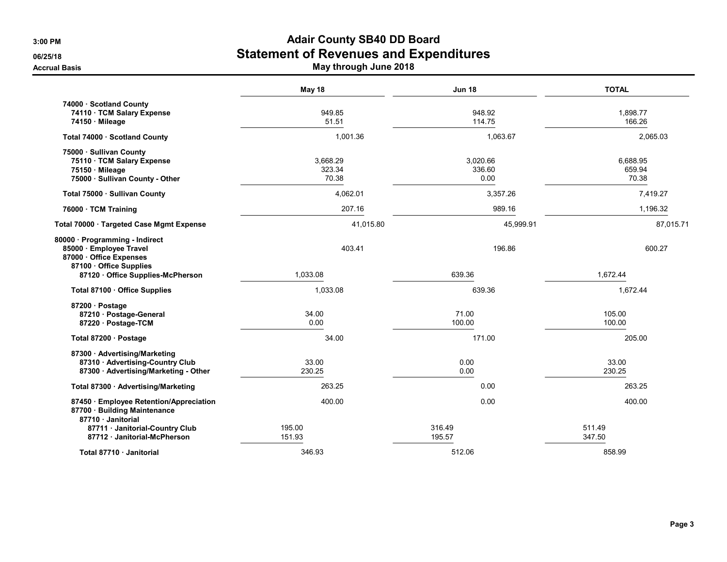|                                                                                                                                | May 18                      | <b>Jun 18</b>              | <b>TOTAL</b>                |
|--------------------------------------------------------------------------------------------------------------------------------|-----------------------------|----------------------------|-----------------------------|
| 74000 Scotland County<br>74110 · TCM Salary Expense<br>74150 Mileage                                                           | 949.85<br>51.51             | 948.92<br>114.75           | 1,898.77<br>166.26          |
| Total 74000 · Scotland County                                                                                                  | 1,001.36                    | 1,063.67                   | 2,065.03                    |
| 75000 · Sullivan County<br>75110 · TCM Salary Expense<br>75150 Mileage<br>75000 · Sullivan County - Other                      | 3,668.29<br>323.34<br>70.38 | 3,020.66<br>336.60<br>0.00 | 6,688.95<br>659.94<br>70.38 |
| Total 75000 · Sullivan County                                                                                                  | 4,062.01                    | 3,357.26                   | 7,419.27                    |
| 76000 · TCM Training                                                                                                           | 207.16                      | 989.16                     | 1,196.32                    |
| Total 70000 · Targeted Case Mgmt Expense                                                                                       | 41,015.80                   | 45,999.91                  | 87,015.71                   |
| 80000 · Programming - Indirect<br>85000 · Employee Travel<br>87000 Office Expenses<br>87100 · Office Supplies                  | 403.41                      | 196.86                     | 600.27                      |
| 87120 · Office Supplies-McPherson                                                                                              | 1,033.08                    | 639.36                     | 1,672.44                    |
| Total 87100 · Office Supplies                                                                                                  | 1,033.08                    | 639.36                     | 1,672.44                    |
| 87200 · Postage<br>87210 · Postage-General<br>87220 Postage-TCM                                                                | 34.00<br>0.00               | 71.00<br>100.00            | 105.00<br>100.00            |
| Total 87200 · Postage                                                                                                          | 34.00                       | 171.00                     | 205.00                      |
| 87300 Advertising/Marketing<br>87310 · Advertising-Country Club<br>87300 · Advertising/Marketing - Other                       | 33.00<br>230.25             | 0.00<br>0.00               | 33.00<br>230.25             |
| Total 87300 · Advertising/Marketing                                                                                            | 263.25                      | 0.00                       | 263.25                      |
| 87450 · Employee Retention/Appreciation<br>87700 · Building Maintenance<br>87710 Janitorial<br>87711 · Janitorial-Country Club | 400.00<br>195.00            | 0.00<br>316.49             | 400.00<br>511.49            |
| 87712 Janitorial-McPherson                                                                                                     | 151.93                      | 195.57                     | 347.50                      |
| Total 87710 Janitorial                                                                                                         | 346.93                      | 512.06                     | 858.99                      |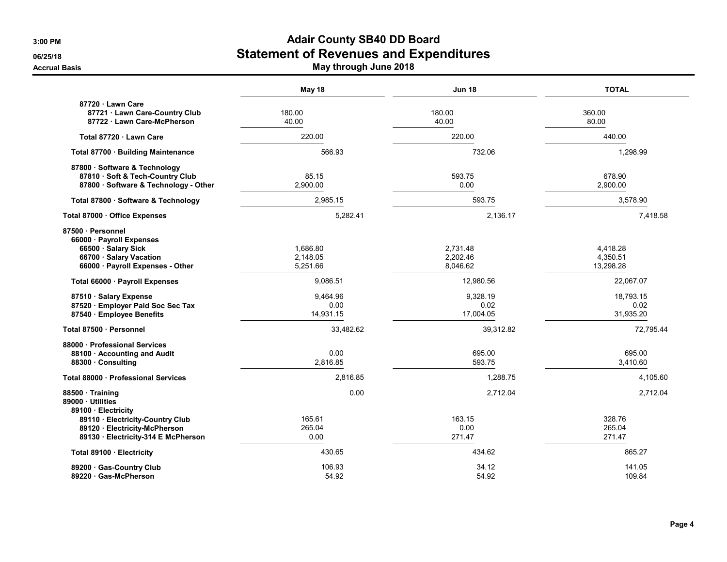|                                                                                                                                     | May 18                           | <b>Jun 18</b>                    | <b>TOTAL</b>                      |
|-------------------------------------------------------------------------------------------------------------------------------------|----------------------------------|----------------------------------|-----------------------------------|
| 87720 · Lawn Care<br>87721 · Lawn Care-Country Club<br>87722 Lawn Care-McPherson                                                    | 180.00<br>40.00                  | 180.00<br>40.00                  | 360.00<br>80.00                   |
| Total 87720 · Lawn Care                                                                                                             | 220.00                           | 220.00                           | 440.00                            |
| Total 87700 · Building Maintenance                                                                                                  | 566.93                           | 732.06                           | 1,298.99                          |
| 87800 · Software & Technology<br>87810 · Soft & Tech-Country Club<br>87800 · Software & Technology - Other                          | 85.15<br>2,900.00                | 593.75<br>0.00                   | 678.90<br>2,900.00                |
| Total 87800 · Software & Technology                                                                                                 | 2.985.15                         | 593.75                           | 3,578.90                          |
| Total 87000 Office Expenses                                                                                                         | 5,282.41                         | 2,136.17                         | 7,418.58                          |
| 87500 · Personnel<br>66000 · Payroll Expenses<br>66500 · Salary Sick<br>66700 · Salary Vacation<br>66000 · Payroll Expenses - Other | 1,686.80<br>2,148.05<br>5,251.66 | 2,731.48<br>2,202.46<br>8,046.62 | 4,418.28<br>4,350.51<br>13,298.28 |
| Total 66000 · Payroll Expenses                                                                                                      | 9,086.51                         | 12,980.56                        | 22,067.07                         |
| 87510 · Salary Expense<br>87520 · Employer Paid Soc Sec Tax<br>87540 · Employee Benefits                                            | 9.464.96<br>0.00<br>14,931.15    | 9.328.19<br>0.02<br>17,004.05    | 18,793.15<br>0.02<br>31,935.20    |
| Total 87500 · Personnel                                                                                                             | 33,482.62                        | 39,312.82                        | 72,795.44                         |
| 88000 Professional Services<br>88100 · Accounting and Audit<br>88300 Consulting                                                     | 0.00<br>2,816.85                 | 695.00<br>593.75                 | 695.00<br>3,410.60                |
| Total 88000 Professional Services                                                                                                   | 2,816.85                         | 1.288.75                         | 4,105.60                          |
| 88500 Training<br>89000 Utilities<br>89100 · Electricity                                                                            | 0.00                             | 2,712.04                         | 2,712.04                          |
| 89110 · Electricity-Country Club<br>89120 · Electricity-McPherson<br>89130 · Electricity-314 E McPherson                            | 165.61<br>265.04<br>0.00         | 163.15<br>0.00<br>271.47         | 328.76<br>265.04<br>271.47        |
| Total 89100 · Electricity                                                                                                           | 430.65                           | 434.62                           | 865.27                            |
| 89200 Gas-Country Club<br>89220 Gas-McPherson                                                                                       | 106.93<br>54.92                  | 34.12<br>54.92                   | 141.05<br>109.84                  |